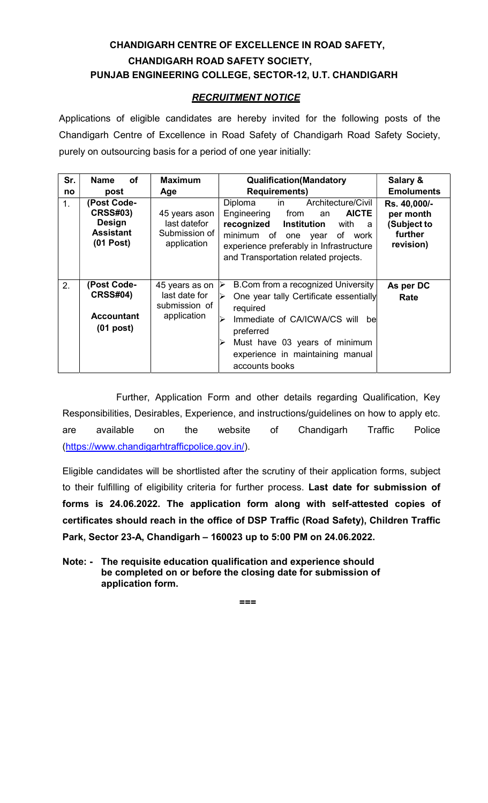# CHANDIGARH CENTRE OF EXCELLENCE IN ROAD SAFETY, CHANDIGARH ROAD SAFETY SOCIETY, PUNJAB ENGINEERING COLLEGE, SECTOR-12, U.T. CHANDIGARH

# RECRUITMENT NOTICE

Applications of eligible candidates are hereby invited for the following posts of the Chandigarh Centre of Excellence in Road Safety of Chandigarh Road Safety Society, purely on outsourcing basis for a period of one year initially:

| Sr. | <b>of</b><br><b>Name</b>                                                           | <b>Maximum</b>                                                  | <b>Qualification(Mandatory</b>                                                                                                                                                                                                                               | Salary &                                                         |
|-----|------------------------------------------------------------------------------------|-----------------------------------------------------------------|--------------------------------------------------------------------------------------------------------------------------------------------------------------------------------------------------------------------------------------------------------------|------------------------------------------------------------------|
| no  | post                                                                               | Age                                                             | <b>Requirements)</b>                                                                                                                                                                                                                                         | <b>Emoluments</b>                                                |
| 1.  | (Post Code-<br><b>CRSS#03)</b><br><b>Design</b><br><b>Assistant</b><br>$(01$ Post) | 45 years ason<br>last datefor<br>Submission of<br>application   | Diploma<br>Architecture/Civil<br>in<br>Engineering<br>from<br><b>AICTE</b><br>an<br>recognized<br>Institution<br>with<br>a<br>minimum of one year<br>of work<br>experience preferably in Infrastructure<br>and Transportation related projects.              | Rs. 40,000/-<br>per month<br>(Subject to<br>further<br>revision) |
| 2.  | (Post Code-<br><b>CRSS#04)</b><br><b>Accountant</b><br>$(01$ post)                 | 45 years as on<br>last date for<br>submission of<br>application | B.Com from a recognized University<br>$\blacktriangle$<br>One year tally Certificate essentially<br>required<br>Immediate of CA/ICWA/CS will<br>bel<br>⋗<br>preferred<br>Must have 03 years of minimum<br>experience in maintaining manual<br>accounts books | As per DC<br>Rate                                                |

Further, Application Form and other details regarding Qualification, Key Responsibilities, Desirables, Experience, and instructions/guidelines on how to apply etc. are available on the website of Chandigarh Traffic Police (https://www.chandigarhtrafficpolice.gov.in/).

Eligible candidates will be shortlisted after the scrutiny of their application forms, subject to their fulfilling of eligibility criteria for further process. Last date for submission of forms is 24.06.2022. The application form along with self-attested copies of certificates should reach in the office of DSP Traffic (Road Safety), Children Traffic Park, Sector 23-A, Chandigarh – 160023 up to 5:00 PM on 24.06.2022.

Note: - The requisite education qualification and experience should be completed on or before the closing date for submission of application form.

===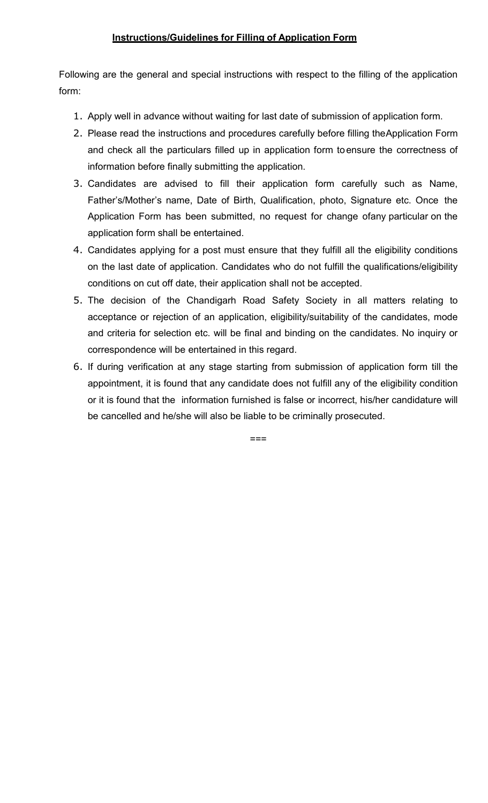## Instructions/Guidelines for Filling of Application Form

Following are the general and special instructions with respect to the filling of the application form:

- 1. Apply well in advance without waiting for last date of submission of application form.
- 2. Please read the instructions and procedures carefully before filling the Application Form and check all the particulars filled up in application form to ensure the correctness of information before finally submitting the application.
- 3. Candidates are advised to fill their application form carefully such as Name, Father's/Mother's name, Date of Birth, Qualification, photo, Signature etc. Once the Application Form has been submitted, no request for change of any particular on the application form shall be entertained.
- 4. Candidates applying for a post must ensure that they fulfill all the eligibility conditions on the last date of application. Candidates who do not fulfill the qualifications/eligibility conditions on cut off date, their application shall not be accepted.
- 5. The decision of the Chandigarh Road Safety Society in all matters relating to acceptance or rejection of an application, eligibility/suitability of the candidates, mode and criteria for selection etc. will be final and binding on the candidates. No inquiry or correspondence will be entertained in this regard.
- 6. If during verification at any stage starting from submission of application form till the appointment, it is found that any candidate does not fulfill any of the eligibility condition or it is found that the information furnished is false or incorrect, his/her candidature will be cancelled and he/she will also be liable to be criminally prosecuted.

===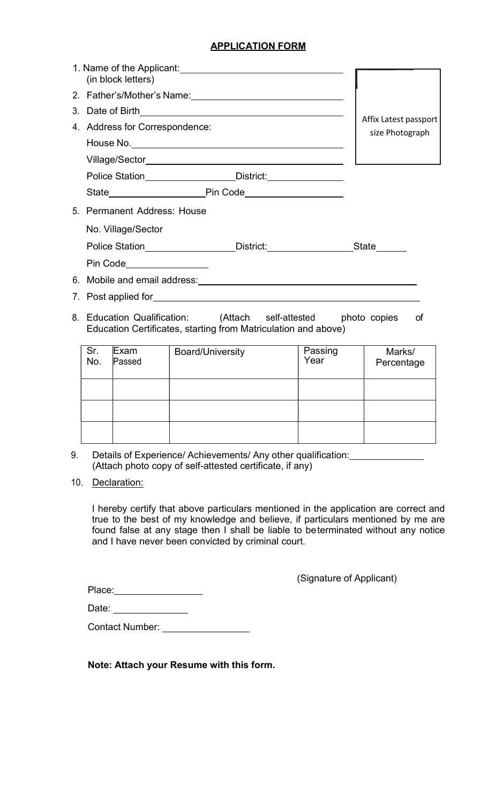# APPLICATION FORM

| (in block letters)                                                               |                                          |
|----------------------------------------------------------------------------------|------------------------------------------|
|                                                                                  |                                          |
|                                                                                  |                                          |
| 4. Address for Correspondence:                                                   | Affix Latest passport<br>size Photograph |
|                                                                                  |                                          |
|                                                                                  |                                          |
| Police Station_________________________District:________________________________ |                                          |
|                                                                                  |                                          |
| 5. Permanent Address: House                                                      |                                          |
| No. Village/Sector                                                               |                                          |
| Police Station___________________District:_______________________State_______    |                                          |
| Pin Code_________________                                                        |                                          |
|                                                                                  |                                          |
|                                                                                  |                                          |
|                                                                                  |                                          |

8. Education Qualification: (Attach self-attested photo copies of Education Certificates, starting from Matriculation and above)

| $Sr.$<br>No. | Exam<br>Passed | <b>Board/University</b> | Passing<br>Year | Marks/<br>Percentage |
|--------------|----------------|-------------------------|-----------------|----------------------|
|              |                |                         |                 |                      |
|              |                |                         |                 |                      |
|              |                |                         |                 |                      |

- 9. Details of Experience/ Achievements/ Any other qualification: (Attach photo copy of self-attested certificate, if any)
- 10. Declaration:

I hereby certify that above particulars mentioned in the application are correct and true to the best of my knowledge and believe, if particulars mentioned by me are found false at any stage then I shall be liable to be terminated without any notice and I have never been convicted by criminal court.

Place: National Place:

(Signature of Applicant)

Date:

Contact Number: \_\_\_\_\_\_\_\_\_\_\_

Note: Attach your Resume with this form.